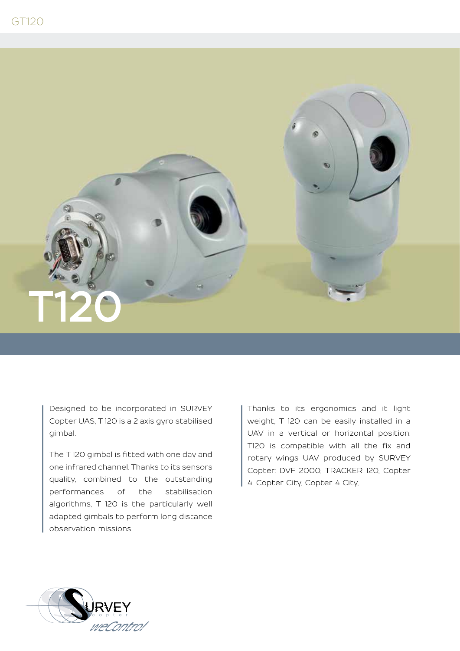

Designed to be incorporated in SURVEY Copter UAS, T 120 is a 2 axis gyro stabilised gimbal.

The T 120 gimbal is fitted with one day and one infrared channel. Thanks to its sensors quality, combined to the outstanding performances of the stabilisation algorithms, T 120 is the particularly well adapted gimbals to perform long distance observation missions.

Thanks to its ergonomics and it light weight, T 120 can be easily installed in a UAV in a vertical or horizontal position. T120 is compatible with all the fix and rotary wings UAV produced by SURVEY Copter: DVF 2000, TRACKER 120, Copter 4, Copter City, Copter 4 City,…